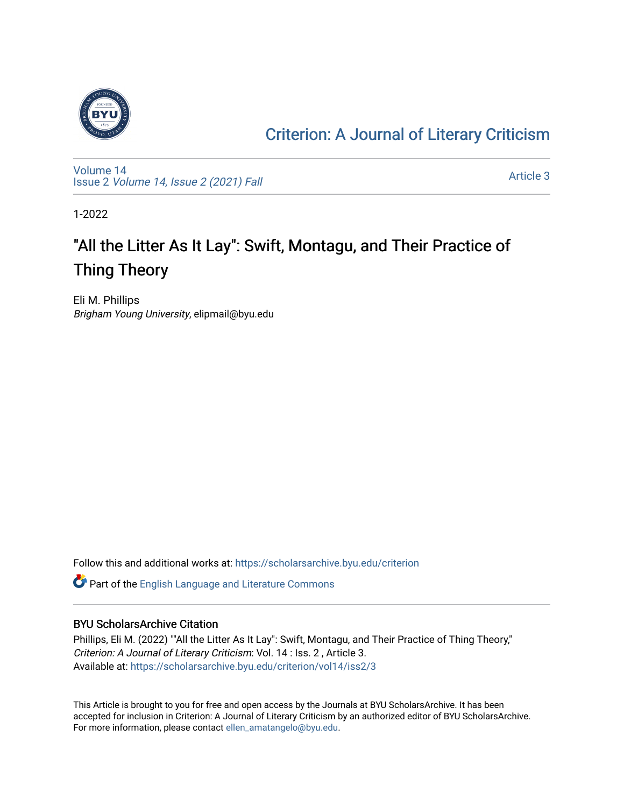

### [Criterion: A Journal of Literary Criticism](https://scholarsarchive.byu.edu/criterion)

[Volume 14](https://scholarsarchive.byu.edu/criterion/vol14) Issue 2 [Volume 14, Issue 2 \(2021\) Fall](https://scholarsarchive.byu.edu/criterion/vol14/iss2)

[Article 3](https://scholarsarchive.byu.edu/criterion/vol14/iss2/3) 

1-2022

## "All the Litter As It Lay": Swift, Montagu, and Their Practice of Thing Theory

Eli M. Phillips Brigham Young University, elipmail@byu.edu

Follow this and additional works at: [https://scholarsarchive.byu.edu/criterion](https://scholarsarchive.byu.edu/criterion?utm_source=scholarsarchive.byu.edu%2Fcriterion%2Fvol14%2Fiss2%2F3&utm_medium=PDF&utm_campaign=PDFCoverPages) 

Part of the [English Language and Literature Commons](http://network.bepress.com/hgg/discipline/455?utm_source=scholarsarchive.byu.edu%2Fcriterion%2Fvol14%2Fiss2%2F3&utm_medium=PDF&utm_campaign=PDFCoverPages)

### BYU ScholarsArchive Citation

Phillips, Eli M. (2022) ""All the Litter As It Lay": Swift, Montagu, and Their Practice of Thing Theory," Criterion: A Journal of Literary Criticism: Vol. 14 : Iss. 2 , Article 3. Available at: [https://scholarsarchive.byu.edu/criterion/vol14/iss2/3](https://scholarsarchive.byu.edu/criterion/vol14/iss2/3?utm_source=scholarsarchive.byu.edu%2Fcriterion%2Fvol14%2Fiss2%2F3&utm_medium=PDF&utm_campaign=PDFCoverPages)

This Article is brought to you for free and open access by the Journals at BYU ScholarsArchive. It has been accepted for inclusion in Criterion: A Journal of Literary Criticism by an authorized editor of BYU ScholarsArchive. For more information, please contact [ellen\\_amatangelo@byu.edu.](mailto:ellen_amatangelo@byu.edu)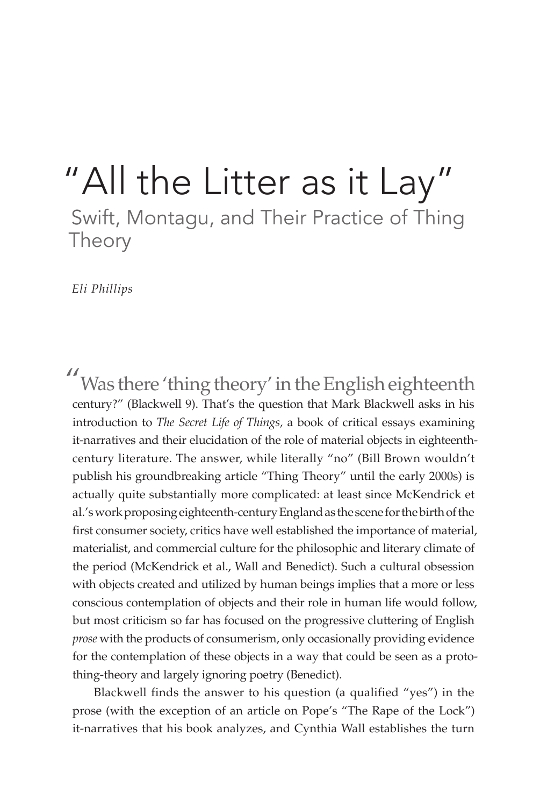## "All the Litter as it Lay" Swift, Montagu, and Their Practice of Thing Theory

*Eli Phillips*

"Was there 'thing theory' in the English eighteenth century?" (Blackwell 9). That's the question that Mark Blackwell asks in his introduction to *The Secret Life of Things,* a book of critical essays examining it-narratives and their elucidation of the role of material objects in eighteenthcentury literature. The answer, while literally "no" (Bill Brown wouldn't publish his groundbreaking article "Thing Theory" until the early 2000s) is actually quite substantially more complicated: at least since McKendrick et al.'s work proposing eighteenth-century England as the scene for the birth of the first consumer society, critics have well established the importance of material, materialist, and commercial culture for the philosophic and literary climate of the period (McKendrick et al., Wall and Benedict). Such a cultural obsession with objects created and utilized by human beings implies that a more or less conscious contemplation of objects and their role in human life would follow, but most criticism so far has focused on the progressive cluttering of English *prose* with the products of consumerism, only occasionally providing evidence for the contemplation of these objects in a way that could be seen as a protothing-theory and largely ignoring poetry (Benedict).

Blackwell finds the answer to his question (a qualified "yes") in the prose (with the exception of an article on Pope's "The Rape of the Lock") it-narratives that his book analyzes, and Cynthia Wall establishes the turn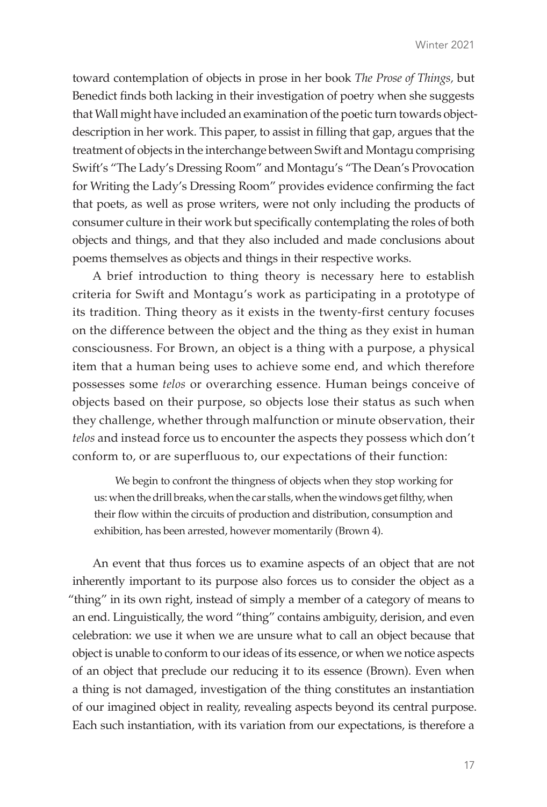toward contemplation of objects in prose in her book *The Prose of Things,* but Benedict finds both lacking in their investigation of poetry when she suggests that Wall might have included an examination of the poetic turn towards objectdescription in her work. This paper, to assist in filling that gap, argues that the treatment of objects in the interchange between Swift and Montagu comprising Swift's "The Lady's Dressing Room" and Montagu's "The Dean's Provocation for Writing the Lady's Dressing Room" provides evidence confirming the fact that poets, as well as prose writers, were not only including the products of consumer culture in their work but specifically contemplating the roles of both objects and things, and that they also included and made conclusions about poems themselves as objects and things in their respective works.

A brief introduction to thing theory is necessary here to establish criteria for Swift and Montagu's work as participating in a prototype of its tradition. Thing theory as it exists in the twenty-first century focuses on the difference between the object and the thing as they exist in human consciousness. For Brown, an object is a thing with a purpose, a physical item that a human being uses to achieve some end, and which therefore possesses some *telos* or overarching essence. Human beings conceive of objects based on their purpose, so objects lose their status as such when they challenge, whether through malfunction or minute observation, their *telos* and instead force us to encounter the aspects they possess which don't conform to, or are superfluous to, our expectations of their function:

We begin to confront the thingness of objects when they stop working for us: when the drill breaks, when the car stalls, when the windows get filthy, when their flow within the circuits of production and distribution, consumption and exhibition, has been arrested, however momentarily (Brown 4).

An event that thus forces us to examine aspects of an object that are not inherently important to its purpose also forces us to consider the object as a "thing" in its own right, instead of simply a member of a category of means to an end. Linguistically, the word "thing" contains ambiguity, derision, and even celebration: we use it when we are unsure what to call an object because that object is unable to conform to our ideas of its essence, or when we notice aspects of an object that preclude our reducing it to its essence (Brown). Even when a thing is not damaged, investigation of the thing constitutes an instantiation of our imagined object in reality, revealing aspects beyond its central purpose. Each such instantiation, with its variation from our expectations, is therefore a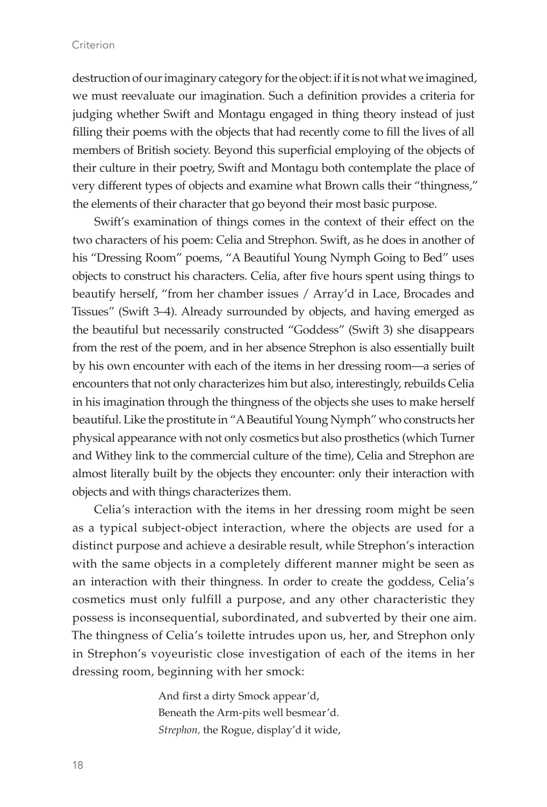### Criterion

destruction of our imaginary category for the object: if it is not what we imagined, we must reevaluate our imagination. Such a definition provides a criteria for judging whether Swift and Montagu engaged in thing theory instead of just filling their poems with the objects that had recently come to fill the lives of all members of British society. Beyond this superficial employing of the objects of their culture in their poetry, Swift and Montagu both contemplate the place of very different types of objects and examine what Brown calls their "thingness," the elements of their character that go beyond their most basic purpose.

Swift's examination of things comes in the context of their effect on the two characters of his poem: Celia and Strephon. Swift, as he does in another of his "Dressing Room" poems, "A Beautiful Young Nymph Going to Bed" uses objects to construct his characters. Celia, after five hours spent using things to beautify herself, "from her chamber issues / Array'd in Lace, Brocades and Tissues" (Swift 3–4). Already surrounded by objects, and having emerged as the beautiful but necessarily constructed "Goddess" (Swift 3) she disappears from the rest of the poem, and in her absence Strephon is also essentially built by his own encounter with each of the items in her dressing room—a series of encounters that not only characterizes him but also, interestingly, rebuilds Celia in his imagination through the thingness of the objects she uses to make herself beautiful. Like the prostitute in "A Beautiful Young Nymph" who constructs her physical appearance with not only cosmetics but also prosthetics (which Turner and Withey link to the commercial culture of the time), Celia and Strephon are almost literally built by the objects they encounter: only their interaction with objects and with things characterizes them.

Celia's interaction with the items in her dressing room might be seen as a typical subject-object interaction, where the objects are used for a distinct purpose and achieve a desirable result, while Strephon's interaction with the same objects in a completely different manner might be seen as an interaction with their thingness. In order to create the goddess, Celia's cosmetics must only fulfill a purpose, and any other characteristic they possess is inconsequential, subordinated, and subverted by their one aim. The thingness of Celia's toilette intrudes upon us, her, and Strephon only in Strephon's voyeuristic close investigation of each of the items in her dressing room, beginning with her smock:

> And first a dirty Smock appear'd, Beneath the Arm-pits well besmear'd. *Strephon,* the Rogue, display'd it wide,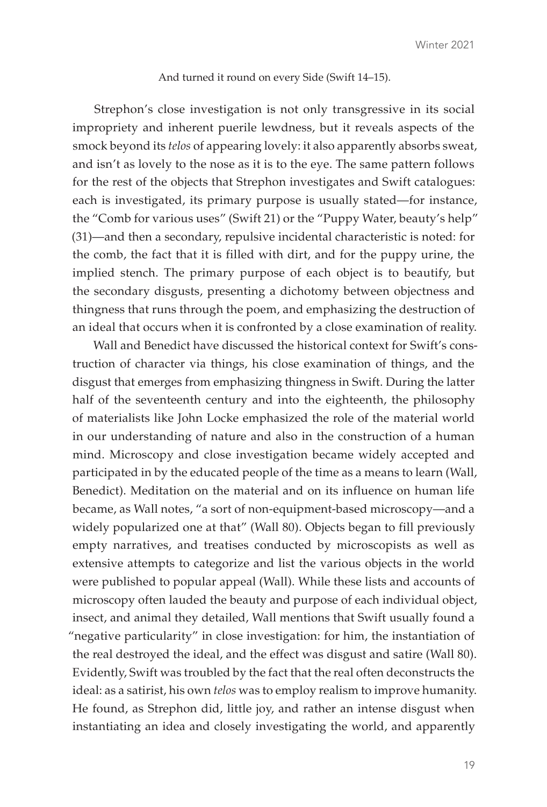### And turned it round on every Side (Swift 14–15).

Strephon's close investigation is not only transgressive in its social impropriety and inherent puerile lewdness, but it reveals aspects of the smock beyond its *telos* of appearing lovely: it also apparently absorbs sweat, and isn't as lovely to the nose as it is to the eye. The same pattern follows for the rest of the objects that Strephon investigates and Swift catalogues: each is investigated, its primary purpose is usually stated—for instance, the "Comb for various uses" (Swift 21) or the "Puppy Water, beauty's help" (31)—and then a secondary, repulsive incidental characteristic is noted: for the comb, the fact that it is filled with dirt, and for the puppy urine, the implied stench. The primary purpose of each object is to beautify, but the secondary disgusts, presenting a dichotomy between objectness and thingness that runs through the poem, and emphasizing the destruction of an ideal that occurs when it is confronted by a close examination of reality.

Wall and Benedict have discussed the historical context for Swift's construction of character via things, his close examination of things, and the disgust that emerges from emphasizing thingness in Swift. During the latter half of the seventeenth century and into the eighteenth, the philosophy of materialists like John Locke emphasized the role of the material world in our understanding of nature and also in the construction of a human mind. Microscopy and close investigation became widely accepted and participated in by the educated people of the time as a means to learn (Wall, Benedict). Meditation on the material and on its influence on human life became, as Wall notes, "a sort of non-equipment-based microscopy—and a widely popularized one at that" (Wall 80). Objects began to fill previously empty narratives, and treatises conducted by microscopists as well as extensive attempts to categorize and list the various objects in the world were published to popular appeal (Wall). While these lists and accounts of microscopy often lauded the beauty and purpose of each individual object, insect, and animal they detailed, Wall mentions that Swift usually found a "negative particularity" in close investigation: for him, the instantiation of the real destroyed the ideal, and the effect was disgust and satire (Wall 80). Evidently, Swift was troubled by the fact that the real often deconstructs the ideal: as a satirist, his own *telos* was to employ realism to improve humanity. He found, as Strephon did, little joy, and rather an intense disgust when instantiating an idea and closely investigating the world, and apparently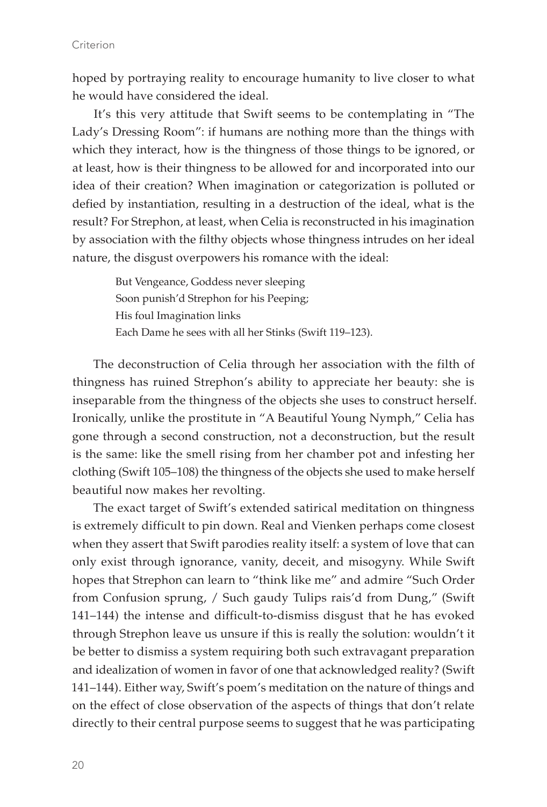hoped by portraying reality to encourage humanity to live closer to what he would have considered the ideal.

It's this very attitude that Swift seems to be contemplating in "The Lady's Dressing Room": if humans are nothing more than the things with which they interact, how is the thingness of those things to be ignored, or at least, how is their thingness to be allowed for and incorporated into our idea of their creation? When imagination or categorization is polluted or defied by instantiation, resulting in a destruction of the ideal, what is the result? For Strephon, at least, when Celia is reconstructed in his imagination by association with the filthy objects whose thingness intrudes on her ideal nature, the disgust overpowers his romance with the ideal:

> But Vengeance, Goddess never sleeping Soon punish'd Strephon for his Peeping; His foul Imagination links Each Dame he sees with all her Stinks (Swift 119–123).

The deconstruction of Celia through her association with the filth of thingness has ruined Strephon's ability to appreciate her beauty: she is inseparable from the thingness of the objects she uses to construct herself. Ironically, unlike the prostitute in "A Beautiful Young Nymph," Celia has gone through a second construction, not a deconstruction, but the result is the same: like the smell rising from her chamber pot and infesting her clothing (Swift 105–108) the thingness of the objects she used to make herself beautiful now makes her revolting.

The exact target of Swift's extended satirical meditation on thingness is extremely difficult to pin down. Real and Vienken perhaps come closest when they assert that Swift parodies reality itself: a system of love that can only exist through ignorance, vanity, deceit, and misogyny. While Swift hopes that Strephon can learn to "think like me" and admire "Such Order from Confusion sprung, / Such gaudy Tulips rais'd from Dung," (Swift 141–144) the intense and difficult-to-dismiss disgust that he has evoked through Strephon leave us unsure if this is really the solution: wouldn't it be better to dismiss a system requiring both such extravagant preparation and idealization of women in favor of one that acknowledged reality? (Swift 141–144). Either way, Swift's poem's meditation on the nature of things and on the effect of close observation of the aspects of things that don't relate directly to their central purpose seems to suggest that he was participating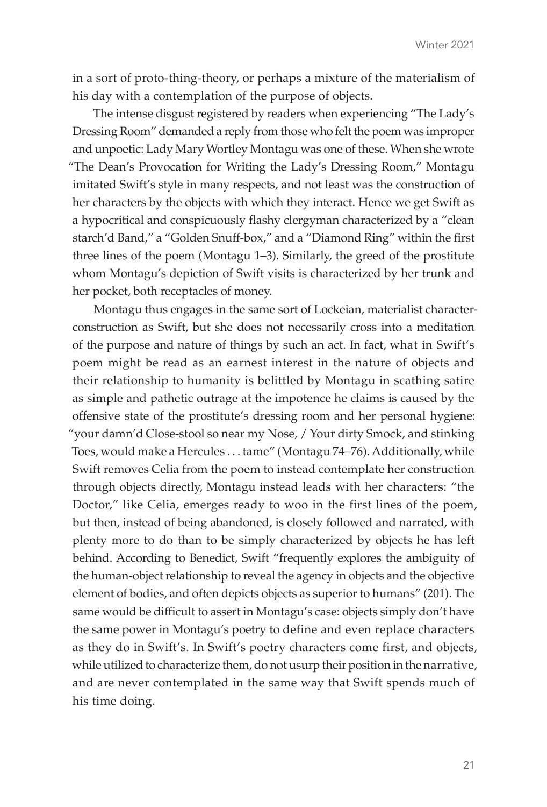in a sort of proto-thing-theory, or perhaps a mixture of the materialism of his day with a contemplation of the purpose of objects.

The intense disgust registered by readers when experiencing "The Lady's Dressing Room" demanded a reply from those who felt the poem was improper and unpoetic: Lady Mary Wortley Montagu was one of these. When she wrote "The Dean's Provocation for Writing the Lady's Dressing Room," Montagu imitated Swift's style in many respects, and not least was the construction of her characters by the objects with which they interact. Hence we get Swift as a hypocritical and conspicuously flashy clergyman characterized by a "clean starch'd Band," a "Golden Snuff-box," and a "Diamond Ring" within the first three lines of the poem (Montagu 1–3). Similarly, the greed of the prostitute whom Montagu's depiction of Swift visits is characterized by her trunk and her pocket, both receptacles of money.

Montagu thus engages in the same sort of Lockeian, materialist characterconstruction as Swift, but she does not necessarily cross into a meditation of the purpose and nature of things by such an act. In fact, what in Swift's poem might be read as an earnest interest in the nature of objects and their relationship to humanity is belittled by Montagu in scathing satire as simple and pathetic outrage at the impotence he claims is caused by the offensive state of the prostitute's dressing room and her personal hygiene: "your damn'd Close-stool so near my Nose, / Your dirty Smock, and stinking Toes, would make a Hercules . . . tame" (Montagu 74–76). Additionally, while Swift removes Celia from the poem to instead contemplate her construction through objects directly, Montagu instead leads with her characters: "the Doctor," like Celia, emerges ready to woo in the first lines of the poem, but then, instead of being abandoned, is closely followed and narrated, with plenty more to do than to be simply characterized by objects he has left behind. According to Benedict, Swift "frequently explores the ambiguity of the human-object relationship to reveal the agency in objects and the objective element of bodies, and often depicts objects as superior to humans" (201). The same would be difficult to assert in Montagu's case: objects simply don't have the same power in Montagu's poetry to define and even replace characters as they do in Swift's. In Swift's poetry characters come first, and objects, while utilized to characterize them, do not usurp their position in the narrative, and are never contemplated in the same way that Swift spends much of his time doing.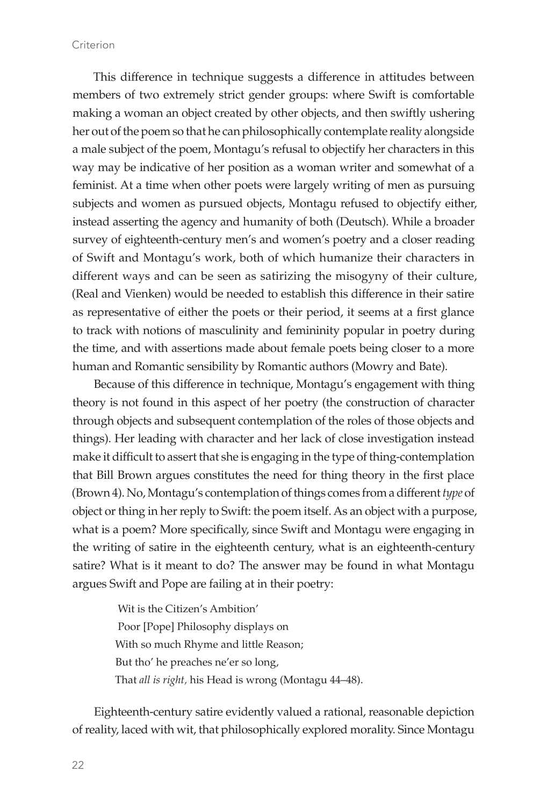This difference in technique suggests a difference in attitudes between members of two extremely strict gender groups: where Swift is comfortable making a woman an object created by other objects, and then swiftly ushering her out of the poem so that he can philosophically contemplate reality alongside a male subject of the poem, Montagu's refusal to objectify her characters in this way may be indicative of her position as a woman writer and somewhat of a feminist. At a time when other poets were largely writing of men as pursuing subjects and women as pursued objects, Montagu refused to objectify either, instead asserting the agency and humanity of both (Deutsch). While a broader survey of eighteenth-century men's and women's poetry and a closer reading of Swift and Montagu's work, both of which humanize their characters in different ways and can be seen as satirizing the misogyny of their culture, (Real and Vienken) would be needed to establish this difference in their satire as representative of either the poets or their period, it seems at a first glance to track with notions of masculinity and femininity popular in poetry during the time, and with assertions made about female poets being closer to a more human and Romantic sensibility by Romantic authors (Mowry and Bate).

Because of this difference in technique, Montagu's engagement with thing theory is not found in this aspect of her poetry (the construction of character through objects and subsequent contemplation of the roles of those objects and things). Her leading with character and her lack of close investigation instead make it difficult to assert that she is engaging in the type of thing-contemplation that Bill Brown argues constitutes the need for thing theory in the first place (Brown 4). No, Montagu's contemplation of things comes from a different *type* of object or thing in her reply to Swift: the poem itself. As an object with a purpose, what is a poem? More specifically, since Swift and Montagu were engaging in the writing of satire in the eighteenth century, what is an eighteenth-century satire? What is it meant to do? The answer may be found in what Montagu argues Swift and Pope are failing at in their poetry:

> Wit is the Citizen's Ambition' Poor [Pope] Philosophy displays on With so much Rhyme and little Reason; But tho' he preaches ne'er so long, That *all is right,* his Head is wrong (Montagu 44–48).

Eighteenth-century satire evidently valued a rational, reasonable depiction of reality, laced with wit, that philosophically explored morality. Since Montagu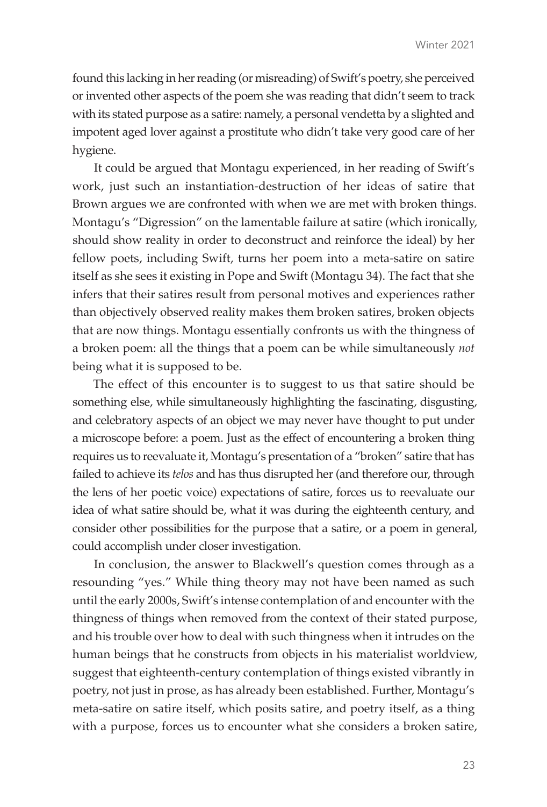found this lacking in her reading (or misreading) of Swift's poetry, she perceived or invented other aspects of the poem she was reading that didn't seem to track with its stated purpose as a satire: namely, a personal vendetta by a slighted and impotent aged lover against a prostitute who didn't take very good care of her hygiene.

It could be argued that Montagu experienced, in her reading of Swift's work, just such an instantiation-destruction of her ideas of satire that Brown argues we are confronted with when we are met with broken things. Montagu's "Digression" on the lamentable failure at satire (which ironically, should show reality in order to deconstruct and reinforce the ideal) by her fellow poets, including Swift, turns her poem into a meta-satire on satire itself as she sees it existing in Pope and Swift (Montagu 34). The fact that she infers that their satires result from personal motives and experiences rather than objectively observed reality makes them broken satires, broken objects that are now things. Montagu essentially confronts us with the thingness of a broken poem: all the things that a poem can be while simultaneously *not*  being what it is supposed to be.

The effect of this encounter is to suggest to us that satire should be something else, while simultaneously highlighting the fascinating, disgusting, and celebratory aspects of an object we may never have thought to put under a microscope before: a poem. Just as the effect of encountering a broken thing requires us to reevaluate it, Montagu's presentation of a "broken" satire that has failed to achieve its *telos* and has thus disrupted her (and therefore our, through the lens of her poetic voice) expectations of satire, forces us to reevaluate our idea of what satire should be, what it was during the eighteenth century, and consider other possibilities for the purpose that a satire, or a poem in general, could accomplish under closer investigation.

In conclusion, the answer to Blackwell's question comes through as a resounding "yes." While thing theory may not have been named as such until the early 2000s, Swift's intense contemplation of and encounter with the thingness of things when removed from the context of their stated purpose, and his trouble over how to deal with such thingness when it intrudes on the human beings that he constructs from objects in his materialist worldview, suggest that eighteenth-century contemplation of things existed vibrantly in poetry, not just in prose, as has already been established. Further, Montagu's meta-satire on satire itself, which posits satire, and poetry itself, as a thing with a purpose, forces us to encounter what she considers a broken satire,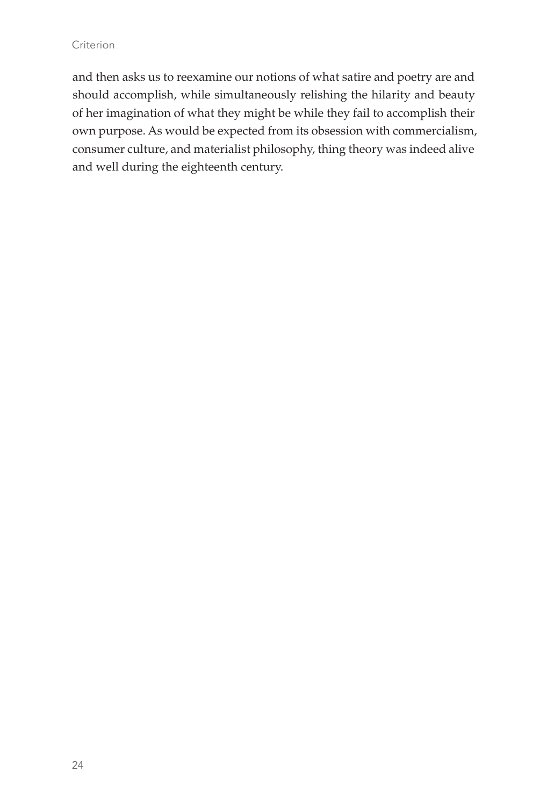and then asks us to reexamine our notions of what satire and poetry are and should accomplish, while simultaneously relishing the hilarity and beauty of her imagination of what they might be while they fail to accomplish their own purpose. As would be expected from its obsession with commercialism, consumer culture, and materialist philosophy, thing theory was indeed alive and well during the eighteenth century.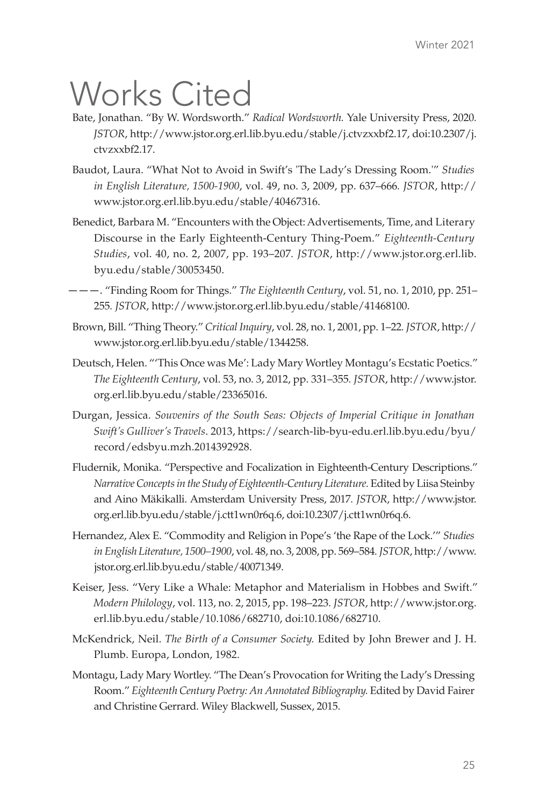# Works Cited

- Bate, Jonathan. "By W. Wordsworth." *Radical Wordsworth.* Yale University Press, 2020*. JSTOR*, http://www.jstor.org.erl.lib.byu.edu/stable/j.ctvzxxbf2.17, doi:10.2307/j. ctvzxxbf2.17.
- Baudot, Laura. "What Not to Avoid in Swift's 'The Lady's Dressing Room.'" *Studies in English Literature, 1500-1900*, vol. 49, no. 3, 2009, pp. 637–666*. JSTOR*, http:// www.jstor.org.erl.lib.byu.edu/stable/40467316.
- Benedict, Barbara M. "Encounters with the Object: Advertisements, Time, and Literary Discourse in the Early Eighteenth-Century Thing-Poem." *Eighteenth-Century Studies*, vol. 40, no. 2, 2007, pp. 193–207*. JSTOR*, http://www.jstor.org.erl.lib. byu.edu/stable/30053450.
- ———. "Finding Room for Things." *The Eighteenth Century*, vol. 51, no. 1, 2010, pp. 251– 255*. JSTOR*, http://www.jstor.org.erl.lib.byu.edu/stable/41468100.
- Brown, Bill. "Thing Theory." *Critical Inquiry*, vol. 28, no. 1, 2001, pp. 1–22*. JSTOR*, http:// www.jstor.org.erl.lib.byu.edu/stable/1344258.
- Deutsch, Helen. "'This Once was Me': Lady Mary Wortley Montagu's Ecstatic Poetics." *The Eighteenth Century*, vol. 53, no. 3, 2012, pp. 331–355*. JSTOR*, http://www.jstor. org.erl.lib.byu.edu/stable/23365016.
- Durgan, Jessica. *Souvenirs of the South Seas: Objects of Imperial Critique in Jonathan Swift's Gulliver's Travels*. 2013, https://search-lib-byu-edu.erl.lib.byu.edu/byu/ record/edsbyu.mzh.2014392928.
- Fludernik, Monika. "Perspective and Focalization in Eighteenth-Century Descriptions." *Narrative Concepts in the Study of Eighteenth-Century Literature.* Edited by Liisa Steinby and Aino Mäkikalli. Amsterdam University Press, 2017*. JSTOR*, http://www.jstor. org.erl.lib.byu.edu/stable/j.ctt1wn0r6q.6, doi:10.2307/j.ctt1wn0r6q.6.
- Hernandez, Alex E. "Commodity and Religion in Pope's 'the Rape of the Lock.'" *Studies in English Literature, 1500–1900*, vol. 48, no. 3, 2008, pp. 569–584*. JSTOR*, http://www. jstor.org.erl.lib.byu.edu/stable/40071349.
- Keiser, Jess. "Very Like a Whale: Metaphor and Materialism in Hobbes and Swift." *Modern Philology*, vol. 113, no. 2, 2015, pp. 198–223*. JSTOR*, http://www.jstor.org. erl.lib.byu.edu/stable/10.1086/682710, doi:10.1086/682710.
- McKendrick, Neil. *The Birth of a Consumer Society.* Edited by John Brewer and J. H. Plumb. Europa, London, 1982.
- Montagu, Lady Mary Wortley. "The Dean's Provocation for Writing the Lady's Dressing Room." *Eighteenth Century Poetry: An Annotated Bibliography.* Edited by David Fairer and Christine Gerrard. Wiley Blackwell, Sussex, 2015.